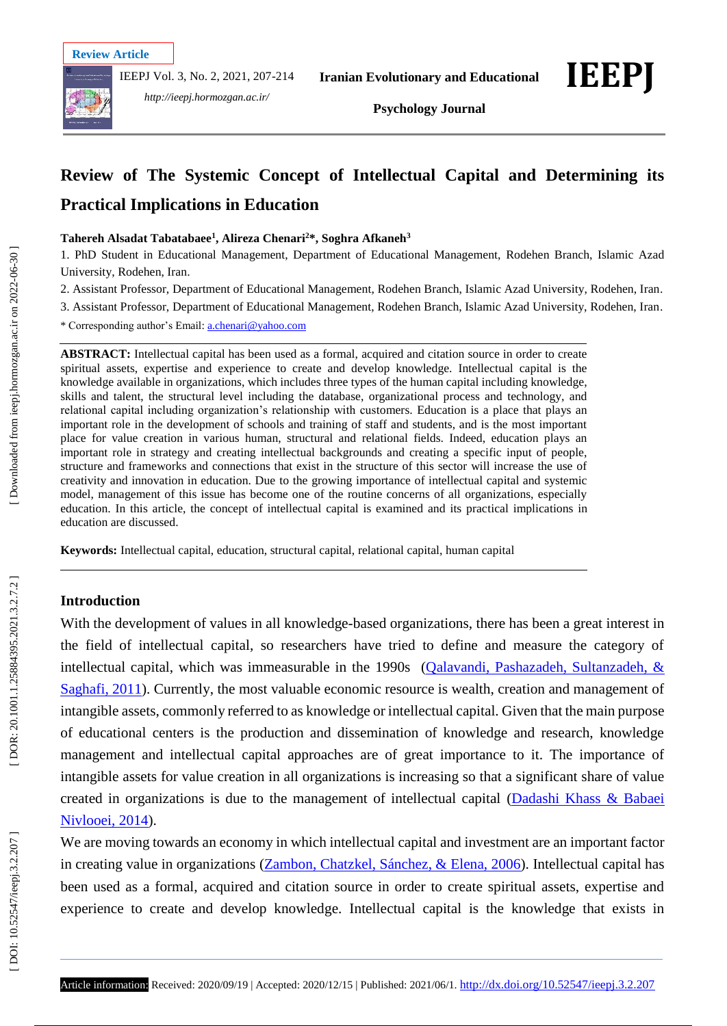IEEPJ Vol. 3, No. 2, 2021, 207 -214



*http://ieepj.hormozgan.ac.ir/*

**Psychology Journal**

# **Review of The Systemic Concept of Intellectual Capital and Determining its Practical Implications in Education**

#### **Tahereh Alsadat Tabatabaee 1 , Alireza Chenari <sup>2</sup>\*, Soghra Afkaneh 3**

1. PhD Student in Educational Management, Department of Educational Management, Rodehen Branch, Islamic Azad University, Rodehen, Iran .

2. Assistant Professor, Department of Educational Management, Rodehen Branch, Islamic Azad University, Rodehen, Iran .

3. Assistant Professor, Department of Educational Management, Rodehen Branch, Islamic Azad University, Rodehen, Iran .

\* Corresponding author's Email: [a.chenari@yahoo.com](mailto:a.chenari@yahoo.com)

**ABSTRACT:** Intellectual capital has been used as a formal, acquired and citation source in order to create spiritual assets, expertise and experience to create and develop knowledge. Intellectual capital is the knowledge available in organizations, which includes three types of the human capital including knowledge, skills and talent, the structural level including the database, organizational process and technology, and relational capital including organization's relationship with customers. Education is a place that plays an important role in the development of schools and training of staff and students, and is the most important place for value creation in various human, structural and relational fields. Indeed, education plays an important role in strategy and creating intellectual backgrounds and creating a specific input of people, structure and frameworks and connections that exist in the structure of this sector will increase the use of creativity and innovation in education. Due to the growing importance of intellectual capital and systemic model, management of this issue has become one of the routine concerns of all organizations, especially education. In this article, the concept of intellectual capital is examined and its practical implications in education are discussed.

**Keywords:** Intellectual capital, education, structural capital, relational capital, human capital

#### **Introduction**

With the development of values in all knowledge -based organizations, there has been a great interest in the field of intellectual capital, so researchers have tried to define and measure the category of intellectual capital, which was immeasurable in the 1990s (Qalavandi, Pashazadeh, Sultanzadeh, & Saghafi, 2011). Currently, the most valuable economic resource is wealth, creation and management of intangible assets, commonly referred to as knowledge or intellectual capital. Given that the main purpose of educational centers is the production and dissemination of knowledge and research, knowledge management and intellectual capital approaches are of great importance to it. The importance of intangible assets for value creation in all organizations is increasing so that a significant share of value created in organizations is due to the management of intellectual capital (Dadashi Khass & Babaei Nivlooei, 2014).

We are moving towards an economy in which intellectual capital and investment are an important factor in creating value in organizations (Zambon, Chatzkel, Sánchez, & Elena, 2006). Intellectual capital has been used as a formal, acquired and citation source in order to create spiritual assets, expertise and experience to create and develop knowledge. Intellectual capital is the knowledge that exists in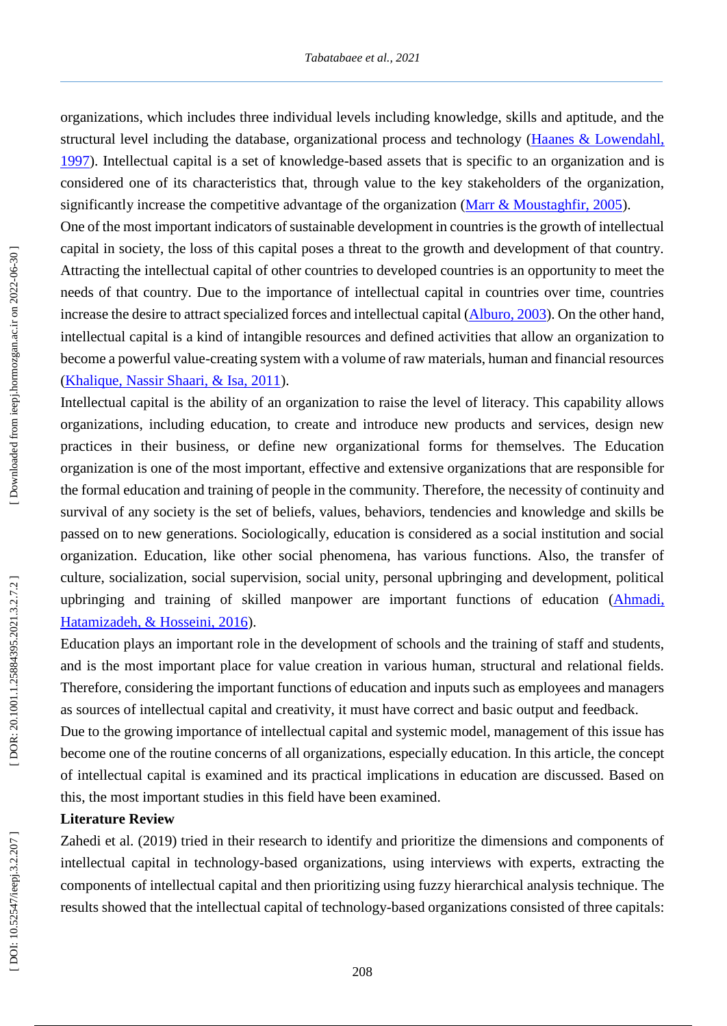organizations, which includes three individual levels including knowledge, skills and aptitude, and the structural level including the database, organizational process and technology (Haanes & Lowendahl, 1997 ). Intellectual capital is a set of knowledge -based assets that is specific to an organization and is considered one of its characteristics that, through value to the key stakeholders of the organization, significantly increase the competitive advantage of the organization (Marr & Moustaghfir, 2005).

One of the most important indicators of sustainable development in countries is the growth of intellectual capital in society, the loss of this capital poses a threat to the growth and development of that country. Attracting the intellectual capital of other countries to developed countries is an opportunity to meet the needs of that country. Due to the importance of intellectual capital in countries over time, countries increase the desire to attract specialized forces and intellectual capital (Alburo, 2003). On the other hand, intellectual capital is a kind of intangible resources and defined activities that allow an organization to become a powerful value -creating system with a volume of raw materials, human and financial resources (Khalique, Nassir Shaari, & Isa, 2011).

Intellectual capital is the ability of an organization to raise the level of literacy. This capability allows organizations, including education, to create and introduce new products and services, design new practices in their business, or define new organizational forms for themselves. The Education organization is one of the most important, effective and extensive organizations that are responsible for the formal education and training of people in the community. Therefore, the necessity of continuity and survival of any society is the set of beliefs, values, behaviors, tendencies and knowledge and skills be passed on to new generations. Sociologically, education is considered as a social institution and social organization. Education, like other social phenomena, has various functions. Also, the transfer of culture, socialization, social supervision, social unity, personal upbringing and development, political upbringing and training of skilled manpower are important functions of education (Ahmadi, Hatamizadeh, & Hosseini, 2016).

Education plays an important role in the development of schools and the training of staff and students, and is the most important place for value creation in various human, structural and relational fields. Therefore, considering the important functions of education and inputs such as employees and managers as sources of intellectual capital and creativity, it must have correct and basic output and feedback.

Due to the growing importance of intellectual capital and systemic model, management of this issue has become one of the routine concerns of all organizations, especially education. In this article, the concept of intellectual capital is examined and its practical implications in education are discussed. Based on this, the most important studies in this field have been examined.

## **Literature Review**

Zahedi et al. (2019) tried in their research to identify and prioritize the dimensions and components of intellectual capital in technology -based organizations, using interviews with experts, extracting the components of intellectual capital and then prioritizing using fuzzy hierarchical analysis technique. The results showed that the intellectual capital of technology -based organizations consisted of three capitals: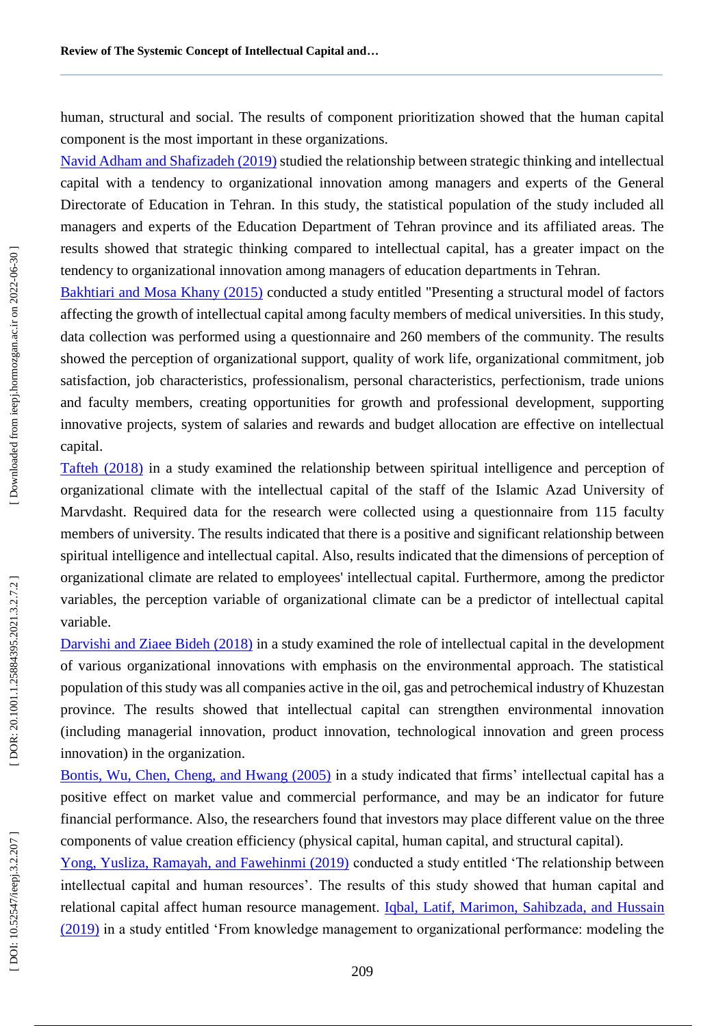human, structural and social. The results of component prioritization showed that the human capital component is the most important in these organizations.

Navid Adham and Shafizadeh (2019) studied the relationship between strategic thinking and intellectual capital with a tendency to organizational innovation among managers and experts of the General Directorate of Education in Tehran. In this study, the statistical population of the study included all managers and experts of the Education Department of Tehran province and its affiliated areas. The results showed that strategic thinking compared to intellectual capital, has a greater impact on the tendency to organizational innovation among managers of education departments in Tehran.

Bakhtiari and Mosa Khany (2015) conducted a study entitled "Presenting a structural model of factors affecting the growth of intellectual capital among faculty members of medical universities. In this study, data collection was performed using a questionnaire and 260 members of the community. The results showed the perception of organizational support, quality of work life, organizational commitment, job satisfaction, job characteristics, professionalism, personal characteristics, perfectionism, trade unions and faculty members, creating opportunities for growth and professional development, supporting innovative projects, system of salaries and rewards and budget allocation are effective on intellectual capital.

Tafteh (2018) in a study examined the relationship between spiritual intelligence and perception of organizational climate with the intellectual capital of the staff of the Islamic Azad University of Marvdasht. Required data for the research were collected using a questionnaire from 115 faculty members of university. The results indicated that there is a positive and significant relationship between spiritual intelligence and intellectual capital. Also, results indicated that the dimensions of perception of organizational climate are related to employees' intellectual capital. Furthermore, among the predictor variables, the perception variable of organizational climate can be a predictor of intellectual capital variable.

Darvishi and Ziaee Bideh (2018) in a study examined the role of intellectual capital in the development of various organizational innovations with emphasis on the environmental approach. The statistical population of this study was all companies active in the oil, gas and petrochemical industry of Khuzestan province. The results showed that intellectual capital can strengthen environmental innovation (including managerial innovation, product innovation, technological innovation and green process innovation) in the organization.

Bontis, Wu, Chen, Cheng, and Hwang (2005) in a study indicated that firms' intellectual capital has a positive effect on market value and commercial performance, and may be an indicator for future financial performance. Also, the researchers found that investors may place different value on the three components of value creation efficiency (physical capital, human capital, and structural capital).

Yong, Yusliza, Ramayah, and Fawehinmi (2019) conducted a study entitled 'The relationship between intellectual capital and human resources'. The results of this study showed that human capital and relational capital affect human resource management. Iqbal, Latif, Marimon, Sahibzada, and Hussain (2019) in a study entitled 'From knowledge management to organizational performance: modeling the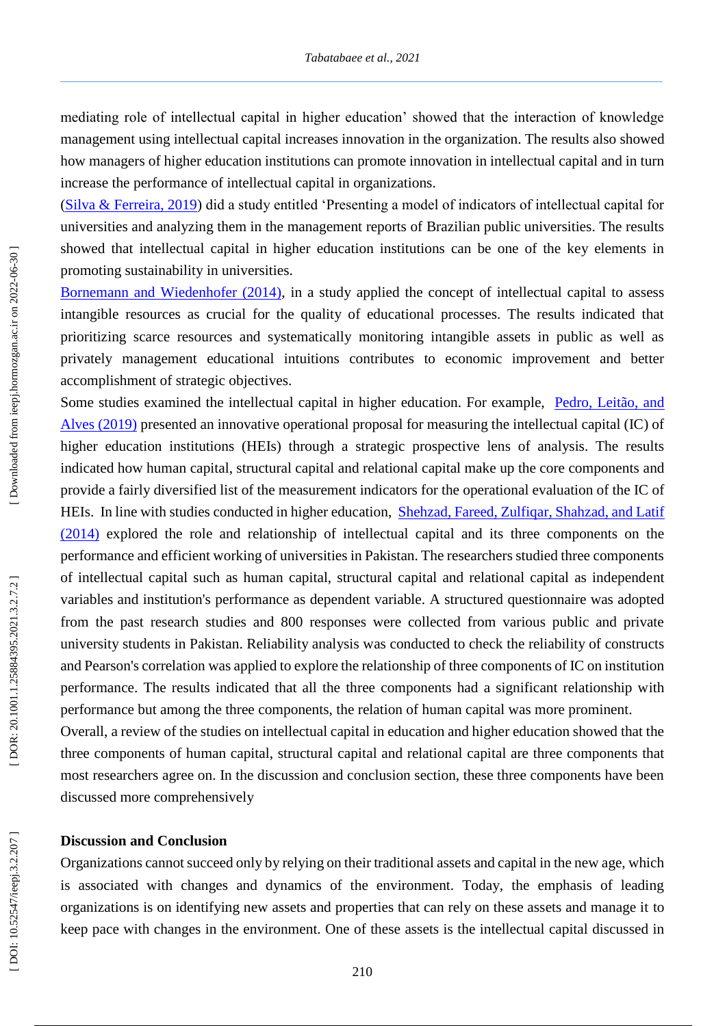mediating role of intellectual capital in higher education' showed that the interaction of knowledge management using intellectual capital increases innovation in the organization. The results also showed how managers of higher education institutions can promote innovation in intellectual capital and in turn increase the performance of intellectual capital in organizations.

(Silva & Ferreira, 2019) did a study entitled 'Presenting a model of indicators of intellectual capital for universities and analyzing them in the management reports of Brazilian public universities. The results showed that intellectual capital in higher education institutions can be one of the key elements in promoting sustainability in universities.

Bornemann and Wiedenhofer (2014), in a study applied the concept of intellectual capital to assess intangible resources as crucial for the quality of educational processes. The results indicated that prioritizing scarce resources and systematically monitoring intangible assets in public as well as privately management educational intuitions contributes to economic improvement and better accomplishment of strategic objectives.

Some studies examined the intellectual capital in higher education. For example, Pedro, Leitão, and Alves (2019) presented an innovative operational proposal for measuring the intellectual capital (IC) of higher education institutions (HEIs) through a strategic prospective lens of analysis. The results indicated how human capital, structural capital and relational capital make up the core components and provide a fairly diversified list of the measurement indicators for the operational evaluation of the IC of HEIs. In line with studies conducted in higher education, Shehzad, Fareed, Zulfiqar, Shahzad, and Latif (2014) explored the role and relationship of intellectual capital and its three components on the performance and efficient working of universities in Pakistan. The researchers studied three components of intellectual capital such as human capital, structural capital and relational capital as independent variables and institution's performance as dependent variable. A structured questionnaire was adopted from the past research studies and 800 responses were collected from various public and private university students in Pakistan. Reliability analysis was conducted to check the reliability of constructs and Pearson's correlation was applied to explore the relationship of three components of IC on institution performance. The results indicated that all the three components had a significant relationship with performance but among the three components, the relation of human capital was more prominent.

Overall, a review of the studies on intellectual capital in education and higher education showed that the three components of human capital, structural capital and relational capital are three components that most researchers agree on. In the discussion and conclusion section, these three components have been discussed more comprehensively

#### **Discussion and Conclusion**

Organizations cannot succeed only by relying on their traditional assets and capital in the new age, which is associated with changes and dynamics of the environment. Today, the emphasis of leading organizations is on identifying new assets and properties that can rely on these assets and manage it to keep pace with changes in the environment. One of these assets is the intellectual capital discussed in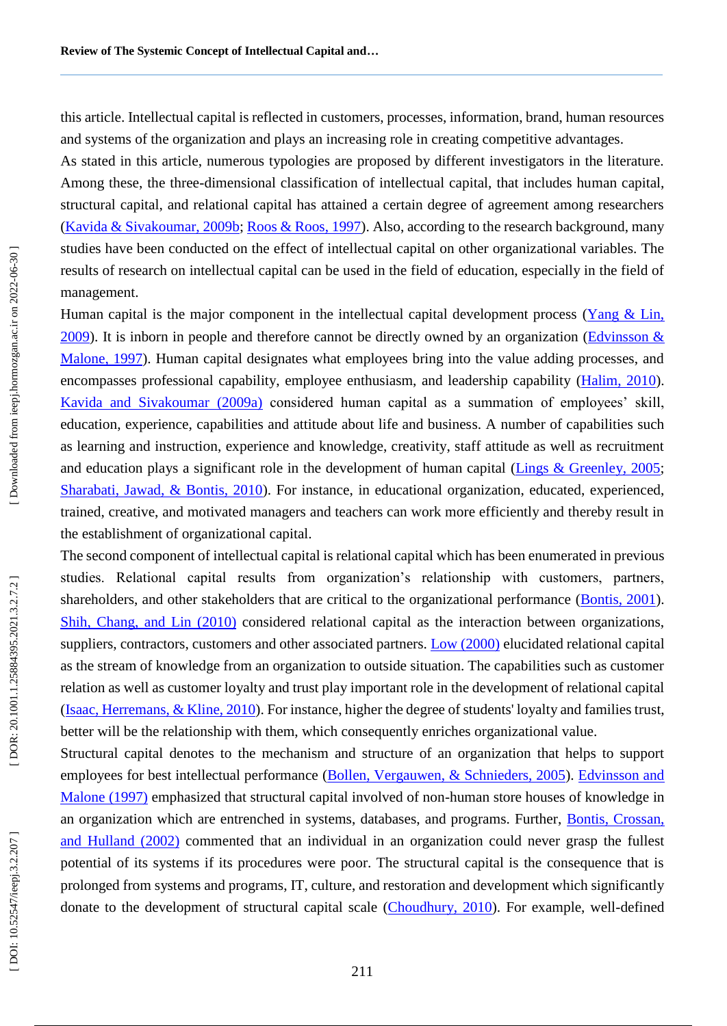this article. Intellectual capital is reflected in customers, processes, information, brand, human resources and systems of the organization and plays an increasing role in creating competitive advantages.

As stated in this article, numerous typologies are proposed by different investigators in the literature. Among these, the three -dimensional classification of intellectual capital, that includes human capital, structural capital, and relational capital has attained a certain degree of agreement among researchers (Kavida & Sivakoumar, 2009b; Roos & Roos, 1997). Also, according to the research background, many studies have been conducted on the effect of intellectual capital on other organizational variables. The results of research on intellectual capital can be used in the field of education, especially in the field of management.

Human capital is the major component in the intellectual capital development process (Yang & Lin, 2009). It is inborn in people and therefore cannot be directly owned by an organization (*Edvinsson &* Malone, 1997). Human capital designates what employees bring into the value adding processes, and encompasses professional capability, employee enthusiasm, and leadership capability (*Halim, 2010*). Kavida and Sivakoumar (2009a) considered human capital as a summation of employees' skill, education, experience, capabilities and attitude about life and business. A number of capabilities such as learning and instruction, experience and knowledge, creativity, staff attitude as well as recruitment and education plays a significant role in the development of human capital (Lings & Greenley, 2005; Sharabati, Jawad, & Bontis, 2010). For instance, in educational organization, educated, experienced, trained, creative, and motivated managers and teachers can work more efficiently and thereby result in the establishment of organizational capital.

The second component of intellectual capital is relational capital which has been enumerated in previous studies. Relational capital results from organization's relationship with customers, partners, shareholders, and other stakeholders that are critical to the organizational performance (Bontis, 2001). Shih, Chang, and Lin (2010) considered relational capital as the interaction between organizations, suppliers, contractors, customers and other associated partners. Low (2000) elucidated relational capital as the stream of knowledge from an organization to outside situation. The capabilities such as customer relation as well as customer loyalty and trust play important role in the development of relational capital (Isaac, Herremans, & Kline, 2010). For instance, higher the degree of students' loyalty and families trust, better will be the relationship with them, which consequently enriches organizational value.

Structural capital denotes to the mechanism and structure of an organization that helps to support employees for best intellectual performance (Bollen, Vergauwen, & Schnieders, 2005). Edvinsson and Malone (1997) emphasized that structural capital involved of non-human store houses of knowledge in an organization which are entrenched in systems, databases, and programs. Further, Bontis, Crossan, and Hulland (2002) commented that an individual in an organization could never grasp the fullest potential of its systems if its procedures were poor. The structural capital is the consequence that is prolonged from systems and programs, IT, culture, and restoration and development which significantly donate to the development of structural capital scale (Choudhury, 2010). For example, well-defined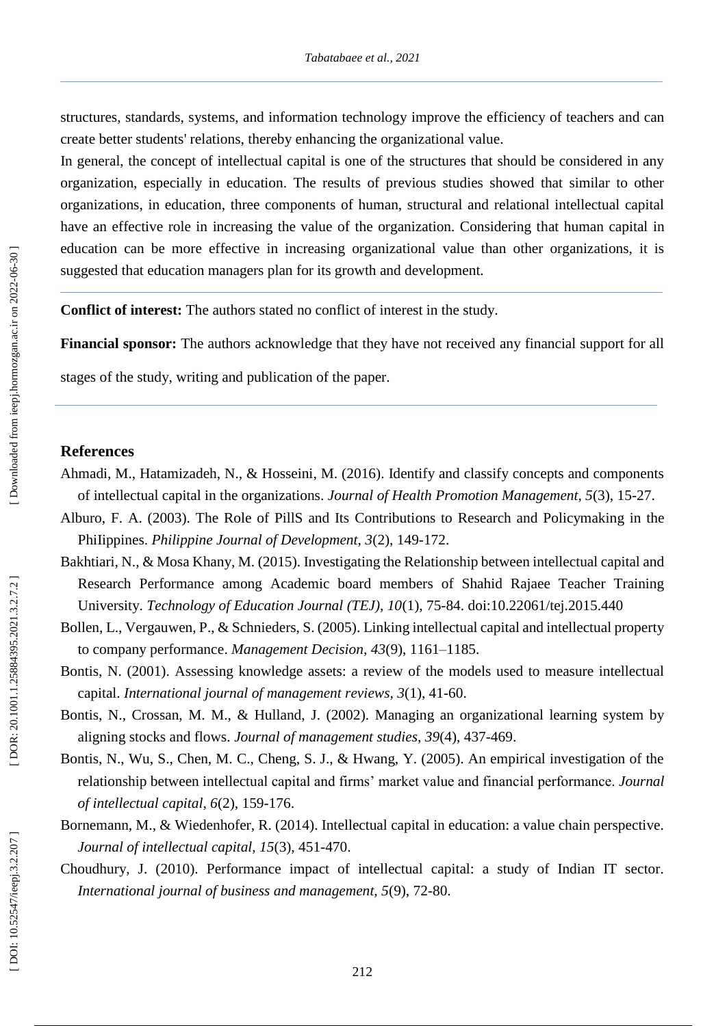structures, standards, systems, and information technology improve the efficiency of teachers and can create better students' relations, thereby enhancing the organizational value.

In general, the concept of intellectual capital is one of the structures that should be considered in any organization, especially in education. The results of previous studies showed that similar to other organizations, in education, three components of human, structural and relational intellectual capital have an effective role in increasing the value of the organization. Considering that human capital in education can be more effective in increasing organizational value than other organizations, it is suggested that education managers plan for its growth and development.

**Conflict of interest:** The authors state d no conflict of interest in the study.

**Financial sponsor:** The authors acknowledge that they have not received any financial support for all

stages of the study, writing and publication of the paper.

## **References**

- Ahmadi, M., Hatamizadeh, N., & Hosseini, M. (2016). Identify and classify concepts and components of intellectual capital in the organizations. *Journal of Health Promotion Management, 5*(3), 15 -27.
- Alburo, F. A. (2003). The Role of PillS and Its Contributions to Research and Policymaking in the PhiIippines. *Philippine Journal of Development*, 3(2), 149-172.
- Bakhtiari, N., & Mosa Khany, M. (2015). Investigating the Relationship between intellectual capital and Research Performance among Academic board members of Shahid Rajaee Teacher Training University. *Technology of Education Journal (TEJ), 10*(1), 75 -84. doi:10.22061/tej.2015.440
- Bollen, L., Vergauwen, P., & Schnieders, S. (2005). Linking intellectual capital and intellectual property to company performance. *Management Decision, 43*(9), 1161 –1185.
- Bontis, N. (2001). Assessing knowledge assets: a review of the models used to measure intellectual capital. *International journal of management reviews, 3*(1), 41 -60.
- Bontis, N., Crossan, M. M., & Hulland, J. (2002). Managing an organizational learning system by aligning stocks and flows. *Journal of management studies, 39*(4), 437 -469.
- Bontis, N., Wu, S., Chen, M. C., Cheng, S. J., & Hwang, Y. (2005). An empirical investigation of the relationship between intellectual capital and firms' market value and financial performance. *Journal of intellectual capital, 6*(2), 159 -176.
- Bornemann, M., & Wiedenhofer, R. (2014). Intellectual capital in education: a value chain perspective. Journal of intellectual capital, 15(3), 451-470.
- Choudhury, J. (2010). Performance impact of intellectual capital: a study of Indian IT sector. *International journal of business and management, 5*(9), 72 -80.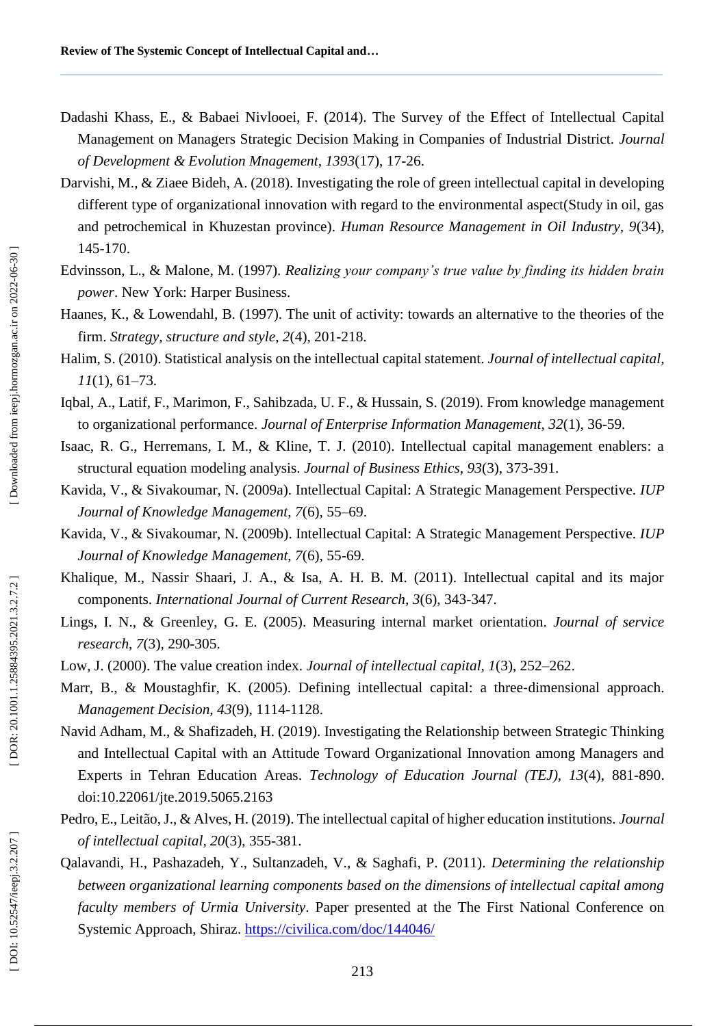- Dadashi Khass, E., & Babaei Nivlooei, F. (2014). The Survey of the Effect of Intellectual Capital Management on Managers Strategic Decision Making in Companies of Industrial District. *Journal of Development & Evolution Mnagement, 1393*(17), 17 -26.
- Darvishi, M., & Ziaee Bideh, A. (2018). Investigating the role of green intellectual capital in developing different type of organizational innovation with regard to the environmental aspect(Study in oil, gas and petrochemical in Khuzestan province). *Human Resource Management in Oil Industry, 9*(34), 145 -170.
- Edvinsson, L., & Malone, M. (1997). *Realizing your company's true value by finding its hidden brain power*. New York: Harper Business.
- Haanes, K., & Lowendahl, B. (1997). The unit of activity: towards an alternative to the theories of the firm. *Strategy, structure and style, 2*(4), 201 -218.
- Halim, S. (2010). Statistical analysis on the intellectual capital statement. *Journal of intellectual capital, 11*(1), 61 –73.
- Iqbal, A., Latif, F., Marimon, F., Sahibzada, U. F., & Hussain, S. (2019). From knowledge management to organizational performance. *Journal of Enterprise Information Management, 32*(1), 36 -59.
- Isaac, R. G., Herremans, I. M., & Kline, T. J. (2010). Intellectual capital management enablers: a structural equation modeling analysis. *Journal of Business Ethics, 93*(3), 373 -391.
- Kavida, V., & Sivakoumar, N. (2009a). Intellectual Capital: A Strategic Management Perspective. *IUP Journal of Knowledge Management, 7*(6), 55 –69.
- Kavida, V., & Sivakoumar, N. (2009b). Intellectual Capital: A Strategic Management Perspective. *IUP Journal of Knowledge Management, 7*(6), 55 -69.
- Khalique, M., Nassir Shaari, J. A., & Isa, A. H. B. M. (2011). Intellectual capital and its major components. *International Journal of Current Research, 3*(6), 343 -347.
- Lings, I. N., & Greenley, G. E. (2005). Measuring internal market orientation. *Journal of service research, 7*(3), 290 -305.
- Low, J. (2000). The value creation index. *Journal of intellectual capital, 1*(3), 252 –262.
- Marr, B., & Moustaghfir, K. (2005). Defining intellectual capital: a three-dimensional approach. *Management Decision, 43*(9), 1114 -1128.
- Navid Adham, M., & Shafizadeh, H. (2019). Investigating the Relationship between Strategic Thinking and Intellectual Capital with an Attitude Toward Organizational Innovation among Managers and Experts in Tehran Education Areas. *Technology of Education Journal (TEJ), 13*(4), 881 -890. doi:10.22061/jte.2019.5065.2163
- Pedro, E., Leitão, J., & Alves, H. (2019). The intellectual capital of higher education institutions. *Journal of intellectual capital, 20*(3), 355 -381.
- Qalavandi, H., Pashazadeh, Y., Sultanzadeh, V., & Saghafi, P. (2011). *Determining the relationship between organizational learning components based on the dimensions of intellectual capital among faculty members of Urmia University*. Paper presented at the The First National Conference on Systemic Approach, Shiraz.<https://civilica.com/doc/144046/>